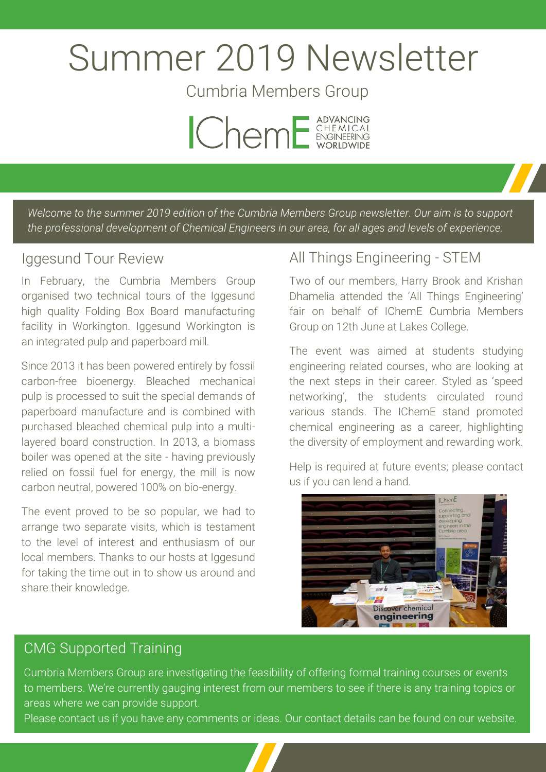# Summer 2019 Newsletter

Cumbria Members Group



*Welcome to the summer 2019 edition of the Cumbria Members Group newsletter. Our aim is to support the professional development of Chemical Engineers in our area, for all ages and levels of experience.*

#### Iggesund Tour Review

In February, the Cumbria Members Group organised two technical tours of the Iggesund high quality Folding Box Board manufacturing facility in Workington. Iggesund Workington is an integrated pulp and paperboard mill.

Since 2013 it has been powered entirely by fossil carbon-free bioenergy. Bleached mechanical pulp is processed to suit the special demands of paperboard manufacture and is combined with purchased bleached chemical pulp into a multilayered board construction. In 2013, a biomass boiler was opened at the site - having previously relied on fossil fuel for energy, the mill is now carbon neutral, powered 100% on bio-energy.

The event proved to be so popular, we had to arrange two separate visits, which is testament to the level of interest and enthusiasm of our local members. Thanks to our hosts at Iggesund for taking the time out in to show us around and share their knowledge.

#### All Things Engineering - STEM

Two of our members, Harry Brook and Krishan Dhamelia attended the 'All Things Engineering' fair on behalf of IChemE Cumbria Members Group on 12th June at Lakes College.

The event was aimed at students studying engineering related courses, who are looking at the next steps in their career. Styled as 'speed networking', the students circulated round various stands. The IChemE stand promoted chemical engineering as a career, highlighting the diversity of employment and rewarding work.

Help is required at future events; please contact us if you can lend a hand.



### CMG Supported Training

Cumbria Members Group are investigating the feasibility of offering formal training courses or events to members. We're currently gauging interest from our members to see if there is any training topics or areas where we can provide support.

Please contact us if you have any comments or ideas. Our contact details can be found on our website.